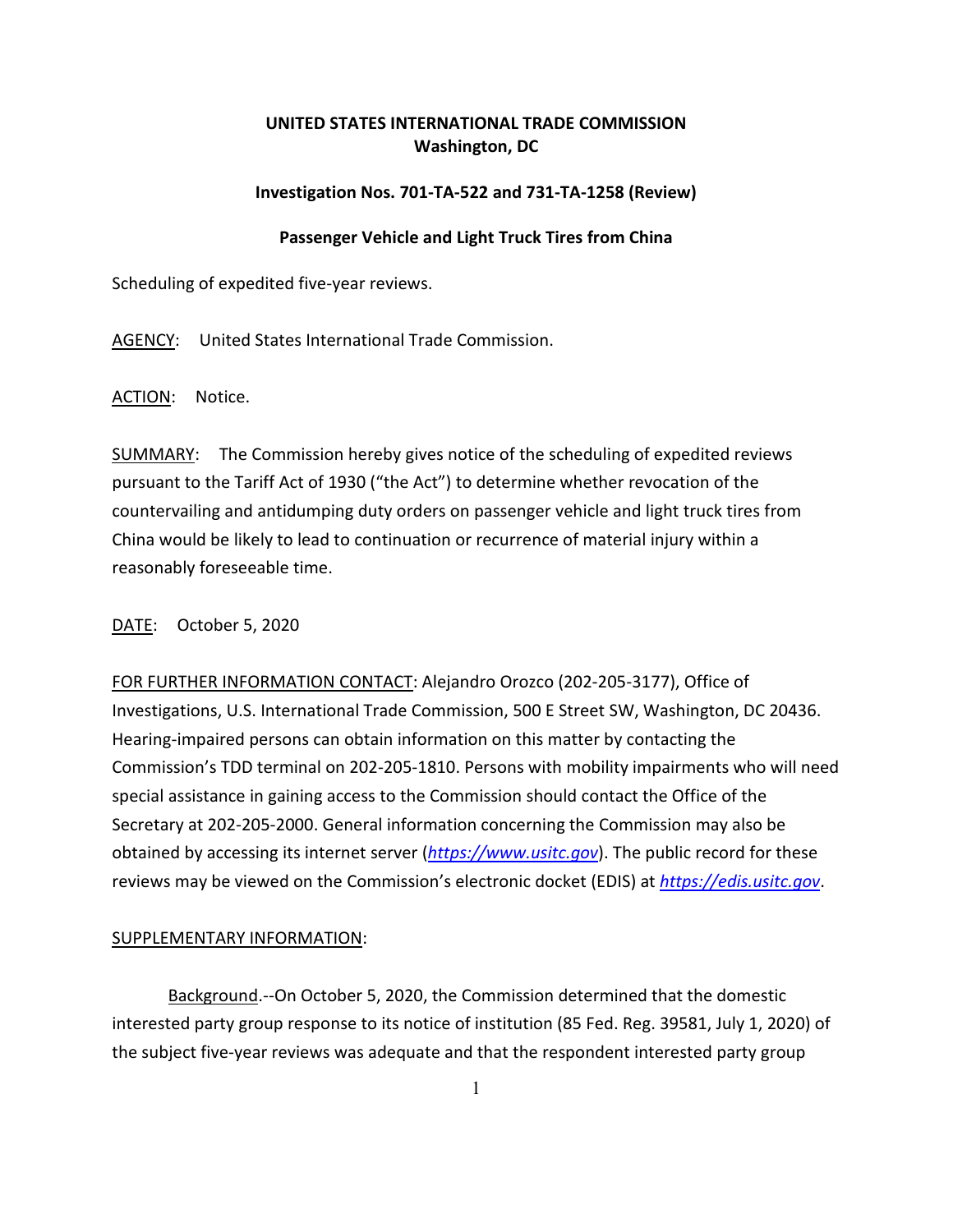# **UNITED STATES INTERNATIONAL TRADE COMMISSION Washington, DC**

## **Investigation Nos. 701-TA-522 and 731-TA-1258 (Review)**

## **Passenger Vehicle and Light Truck Tires from China**

Scheduling of expedited five-year reviews.

AGENCY: United States International Trade Commission.

ACTION: Notice.

SUMMARY: The Commission hereby gives notice of the scheduling of expedited reviews pursuant to the Tariff Act of 1930 ("the Act") to determine whether revocation of the countervailing and antidumping duty orders on passenger vehicle and light truck tires from China would be likely to lead to continuation or recurrence of material injury within a reasonably foreseeable time.

## DATE: October 5, 2020

FOR FURTHER INFORMATION CONTACT: Alejandro Orozco (202-205-3177), Office of Investigations, U.S. International Trade Commission, 500 E Street SW, Washington, DC 20436. Hearing-impaired persons can obtain information on this matter by contacting the Commission's TDD terminal on 202-205-1810. Persons with mobility impairments who will need special assistance in gaining access to the Commission should contact the Office of the Secretary at 202-205-2000. General information concerning the Commission may also be obtained by accessing its internet server (*[https://www.usitc.gov](https://www.usitc.gov/)*). The public record for these reviews may be viewed on the Commission's electronic docket (EDIS) at *[https://edis.usitc.gov](https://edis.usitc.gov/)*.

## SUPPLEMENTARY INFORMATION:

Background.--On October 5, 2020, the Commission determined that the domestic interested party group response to its notice of institution (85 Fed. Reg. 39581, July 1, 2020) of the subject five-year reviews was adequate and that the respondent interested party group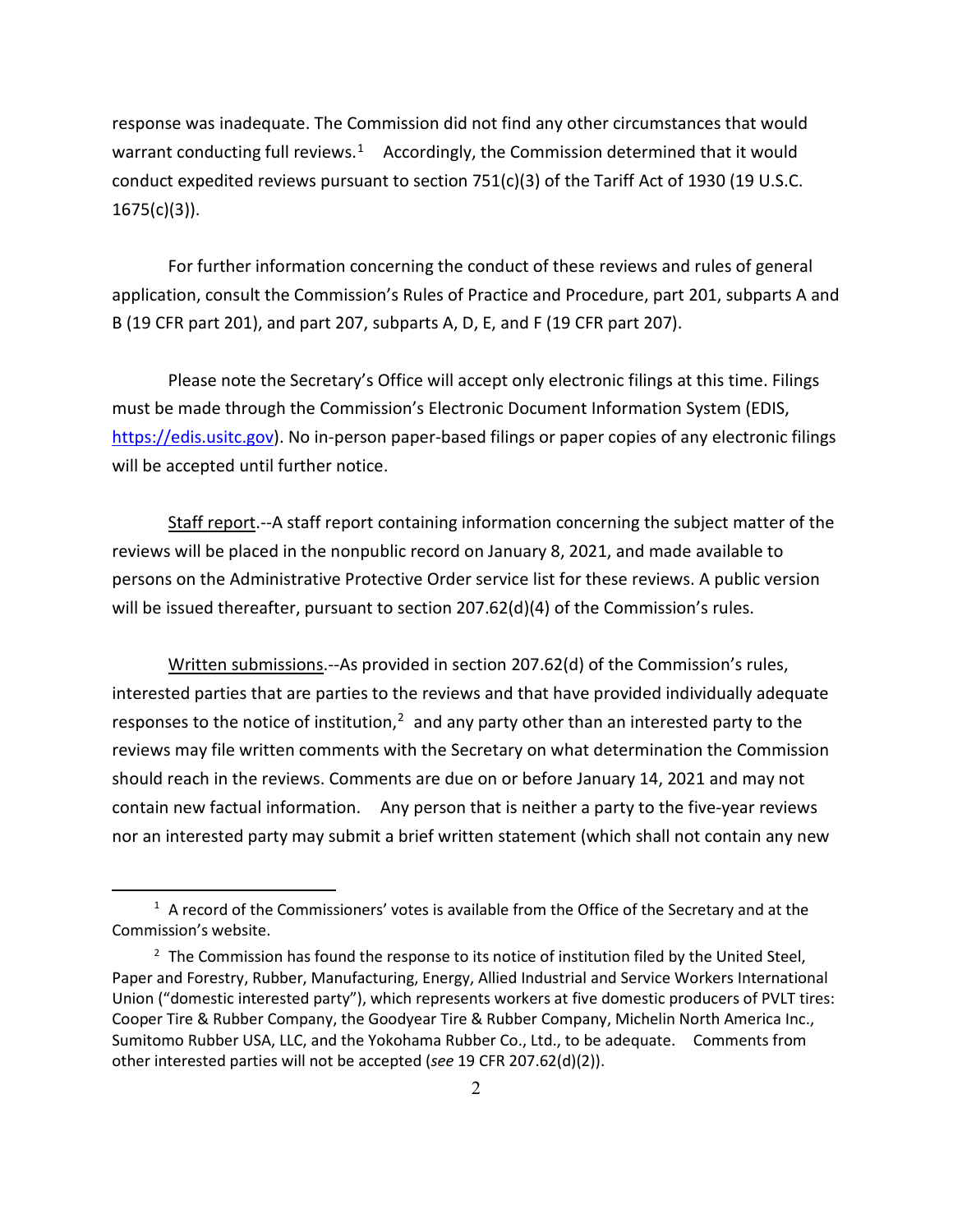response was inadequate. The Commission did not find any other circumstances that would warrant conducting full reviews.<sup>1</sup> Accordingly, the Commission determined that it would conduct expedited reviews pursuant to section  $751(c)(3)$  of the Tariff Act of 1930 (19 U.S.C.  $1675(c)(3)$ ).

For further information concerning the conduct of these reviews and rules of general application, consult the Commission's Rules of Practice and Procedure, part 201, subparts A and B (19 CFR part 201), and part 207, subparts A, D, E, and F (19 CFR part 207).

Please note the Secretary's Office will accept only electronic filings at this time. Filings must be made through the Commission's Electronic Document Information System (EDIS, [https://edis.usitc.gov\)](https://edis.usitc.gov/). No in-person paper-based filings or paper copies of any electronic filings will be accepted until further notice.

Staff report.--A staff report containing information concerning the subject matter of the reviews will be placed in the nonpublic record on January 8, 2021, and made available to persons on the Administrative Protective Order service list for these reviews. A public version will be issued thereafter, pursuant to section 207.62(d)(4) of the Commission's rules.

Written submissions.--As provided in section 207.62(d) of the Commission's rules, interested parties that are parties to the reviews and that have provided individually adequate responses to the notice of institution, $<sup>2</sup>$  $<sup>2</sup>$  $<sup>2</sup>$  and any party other than an interested party to the</sup> reviews may file written comments with the Secretary on what determination the Commission should reach in the reviews. Comments are due on or before January 14, 2021 and may not contain new factual information. Any person that is neither a party to the five-year reviews nor an interested party may submit a brief written statement (which shall not contain any new

<span id="page-1-0"></span> $1$  A record of the Commissioners' votes is available from the Office of the Secretary and at the Commission's website.

<span id="page-1-1"></span> $2$  The Commission has found the response to its notice of institution filed by the United Steel, Paper and Forestry, Rubber, Manufacturing, Energy, Allied Industrial and Service Workers International Union ("domestic interested party"), which represents workers at five domestic producers of PVLT tires: Cooper Tire & Rubber Company, the Goodyear Tire & Rubber Company, Michelin North America Inc., Sumitomo Rubber USA, LLC, and the Yokohama Rubber Co., Ltd., to be adequate. Comments from other interested parties will not be accepted (*see* 19 CFR 207.62(d)(2)).